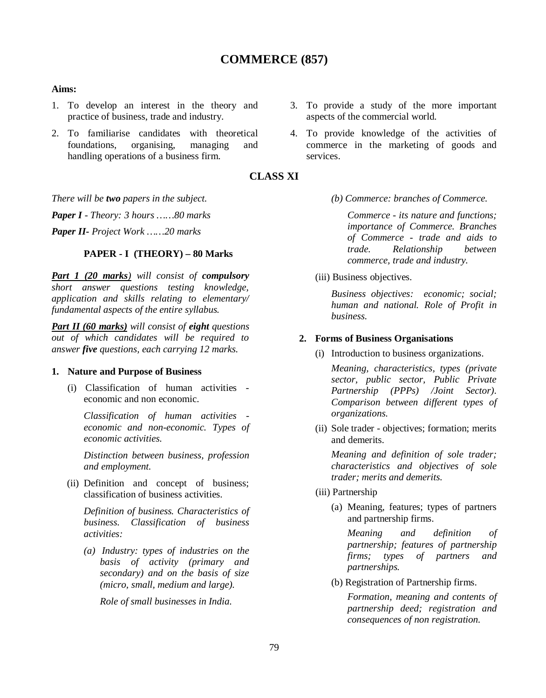# **COMMERCE (857)**

#### **Aims:**

- 1. To develop an interest in the theory and practice of business, trade and industry.
- 2. To familiarise candidates with theoretical foundations, organising, managing and handling operations of a business firm.
- 3. To provide a study of the more important aspects of the commercial world.
- 4. To provide knowledge of the activities of services.

# **CLASS XI**

*There will be two papers in the subject.*

*Paper I - Theory: 3 hours ……80 marks*

*Paper II- Project Work ……20 marks*

### **PAPER - I (THEORY) – 80 Marks**

*Part 1 (20 marks) will consist of compulsory short answer questions testing knowledge, application and skills relating to elementary/ fundamental aspects of the entire syllabus.*

*Part II (60 marks) will consist of eight questions out of which candidates will be required to answer five questions, each carrying 12 marks.*

#### **1. Nature and Purpose of Business**

(i) Classification of human activities economic and non economic.

*Classification of human activities economic and non-economic. Types of economic activities.*

*Distinction between business, profession and employment.*

(ii) Definition and concept of business; classification of business activities.

*Definition of business. Characteristics of business. Classification of business activities:* 

*(a) Industry: types of industries on the basis of activity (primary and secondary) and on the basis of size (micro, small, medium and large).*

*Role of small businesses in India.*

commerce in the marketing of goods and

*(b) Commerce: branches of Commerce.*

*Commerce - its nature and functions; importance of Commerce. Branches of Commerce - trade and aids to trade. Relationship between commerce, trade and industry.* 

(iii) Business objectives.

*Business objectives: economic; social; human and national. Role of Profit in business.*

#### **2. Forms of Business Organisations**

(i) Introduction to business organizations.

*Meaning, characteristics, types (private sector, public sector, Public Private Partnership (PPPs) /Joint Sector). Comparison between different types of organizations.*

(ii) Sole trader - objectives; formation; merits and demerits.

*Meaning and definition of sole trader; characteristics and objectives of sole trader; merits and demerits.*

- (iii) Partnership
	- (a) Meaning, features; types of partners and partnership firms.

*Meaning and definition of partnership; features of partnership firms; types of partners and partnerships.*

(b) Registration of Partnership firms.

*Formation, meaning and contents of partnership deed; registration and consequences of non registration.*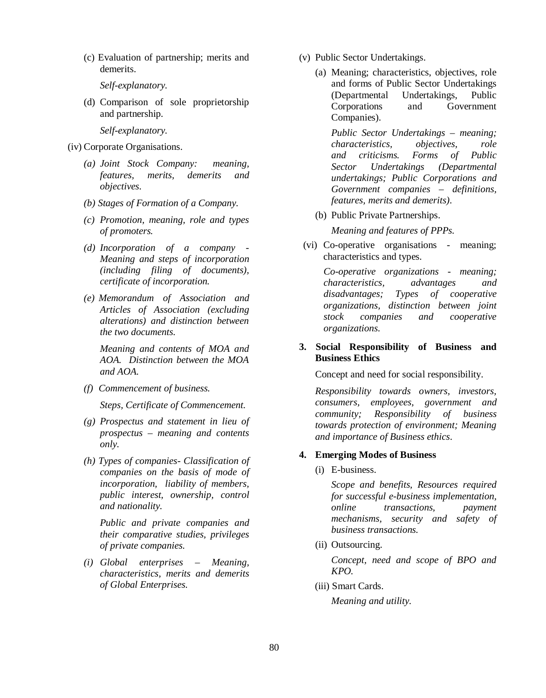(c) Evaluation of partnership; merits and demerits.

*Self-explanatory.*

(d) Comparison of sole proprietorship and partnership.

*Self-explanatory.*

- (iv) Corporate Organisations.
	- *(a) Joint Stock Company: meaning, features, merits, demerits and objectives.*
	- *(b) Stages of Formation of a Company.*
	- *(c) Promotion, meaning, role and types of promoters.*
	- *(d) Incorporation of a company - Meaning and steps of incorporation (including filing of documents), certificate of incorporation.*
	- *(e) Memorandum of Association and Articles of Association (excluding alterations) and distinction between the two documents.*

*Meaning and contents of MOA and AOA. Distinction between the MOA and AOA.*

*(f) Commencement of business.* 

*Steps, Certificate of Commencement.*

- *(g) Prospectus and statement in lieu of prospectus – meaning and contents only.*
- *(h) Types of companies- Classification of companies on the basis of mode of incorporation, liability of members, public interest, ownership, control and nationality.*

*Public and private companies and their comparative studies, privileges of private companies.*

*(i) Global enterprises – Meaning, characteristics, merits and demerits of Global Enterprises.* 

- (v) Public Sector Undertakings.
	- (a) Meaning; characteristics, objectives, role and forms of Public Sector Undertakings (Departmental Undertakings, Public Corporations and Government Companies).

*Public Sector Undertakings – meaning; characteristics, objectives, role and criticisms. Forms of Public Sector Undertakings (Departmental undertakings; Public Corporations and Government companies – definitions, features, merits and demerits)*.

- (b) Public Private Partnerships. *Meaning and features of PPPs.*
- (vi) Co-operative organisations meaning; characteristics and types.

*Co-operative organizations - meaning; characteristics, advantages and disadvantages; Types of cooperative organizations, distinction between joint stock companies and cooperative organizations.* 

### **3. Social Responsibility of Business and Business Ethics**

Concept and need for social responsibility.

*Responsibility towards owners, investors, consumers, employees, government and community; Responsibility of business towards protection of environment; Meaning and importance of Business ethics*.

## **4. Emerging Modes of Business**

(i) E-business.

*Scope and benefits, Resources required for successful e-business implementation, online transactions, payment mechanisms, security and safety of business transactions.*

(ii) Outsourcing.

*Concept, need and scope of BPO and KPO.*

(iii) Smart Cards.

*Meaning and utility.*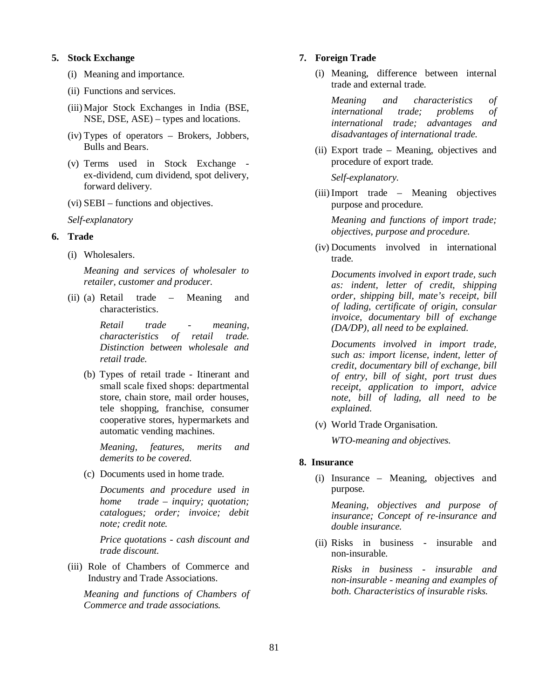#### **5. Stock Exchange**

- (i) Meaning and importance.
- (ii) Functions and services.
- (iii)Major Stock Exchanges in India (BSE, NSE, DSE, ASE) – types and locations.
- (iv) Types of operators Brokers, Jobbers, Bulls and Bears.
- (v) Terms used in Stock Exchange ex-dividend, cum dividend, spot delivery, forward delivery.
- (vi) SEBI functions and objectives.

*Self-explanatory*

## **6. Trade**

(i) Wholesalers.

*Meaning and services of wholesaler to retailer, customer and producer.*

(ii) (a) Retail trade – Meaning and characteristics.

> *Retail trade - meaning, characteristics of retail trade. Distinction between wholesale and retail trade.*

(b) Types of retail trade - Itinerant and small scale fixed shops: departmental store, chain store, mail order houses, tele shopping, franchise, consumer cooperative stores, hypermarkets and automatic vending machines.

*Meaning, features, merits and demerits to be covered.*

(c) Documents used in home trade.

*Documents and procedure used in home trade – inquiry; quotation; catalogues; order; invoice; debit note; credit note.*

*Price quotations - cash discount and trade discount.*

(iii) Role of Chambers of Commerce and Industry and Trade Associations.

*Meaning and functions of Chambers of Commerce and trade associations.*

#### **7. Foreign Trade**

(i) Meaning, difference between internal trade and external trade.

*Meaning and characteristics of international trade; problems of international trade; advantages and disadvantages of international trade.*

(ii) Export trade – Meaning, objectives and procedure of export trade.

*Self-explanatory.*

(iii) Import trade – Meaning objectives purpose and procedure.

*Meaning and functions of import trade; objectives, purpose and procedure.*

(iv) Documents involved in international trade.

*Documents involved in export trade, such as: indent, letter of credit, shipping order, shipping bill, mate's receipt, bill of lading, certificate of origin, consular invoice, documentary bill of exchange (DA/DP), all need to be explained.*

*Documents involved in import trade, such as: import license, indent, letter of credit, documentary bill of exchange, bill of entry, bill of sight, port trust dues receipt, application to import, advice note, bill of lading, all need to be explained.*

(v) World Trade Organisation.

*WTO-meaning and objectives.*

## **8. Insurance**

(i) Insurance – Meaning, objectives and purpose.

*Meaning, objectives and purpose of insurance; Concept of re-insurance and double insurance.*

(ii) Risks in business - insurable and non-insurable.

*Risks in business - insurable and non-insurable - meaning and examples of both. Characteristics of insurable risks.*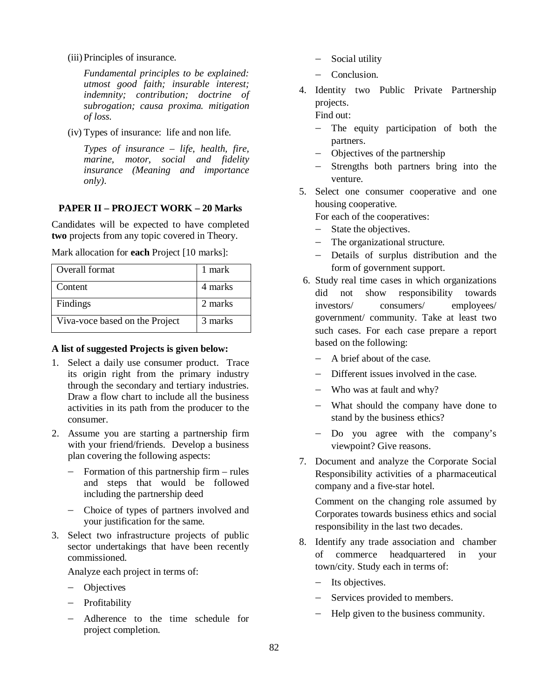(iii) Principles of insurance.

*Fundamental principles to be explained: utmost good faith; insurable interest; indemnity; contribution; doctrine of subrogation; causa proxima. mitigation of loss.*

(iv) Types of insurance: life and non life.

*Types of insurance – life, health, fire, marine, motor, social and fidelity insurance (Meaning and importance only).*

## **PAPER II – PROJECT WORK – 20 Marks**

Candidates will be expected to have completed **two** projects from any topic covered in Theory.

Mark allocation for **each** Project [10 marks]:

| Overall format                 | 1 mark  |
|--------------------------------|---------|
| Content                        | 4 marks |
| Findings                       | 2 marks |
| Viva-voce based on the Project | 3 marks |

### **A list of suggested Projects is given below:**

- 1. Select a daily use consumer product. Trace its origin right from the primary industry through the secondary and tertiary industries. Draw a flow chart to include all the business activities in its path from the producer to the consumer.
- 2. Assume you are starting a partnership firm with your friend/friends. Develop a business plan covering the following aspects:
	- $-$  Formation of this partnership firm  $-$  rules and steps that would be followed including the partnership deed
	- Choice of types of partners involved and your justification for the same.
- 3. Select two infrastructure projects of public sector undertakings that have been recently commissioned.

Analyze each project in terms of:

- Objectives
- Profitability
- Adherence to the time schedule for project completion.
- Social utility
- Conclusion.
- 4. Identity two Public Private Partnership projects.

Find out:

- The equity participation of both the partners.
- Objectives of the partnership
- Strengths both partners bring into the venture.
- 5. Select one consumer cooperative and one housing cooperative.

For each of the cooperatives:

- State the objectives.
- The organizational structure.
- Details of surplus distribution and the form of government support.
- 6. Study real time cases in which organizations did not show responsibility towards investors/ consumers/ employees/ government/ community. Take at least two such cases. For each case prepare a report based on the following:
	- A brief about of the case.
	- Different issues involved in the case.
	- Who was at fault and why?
	- What should the company have done to stand by the business ethics?
	- Do you agree with the company's viewpoint? Give reasons.
- 7. Document and analyze the Corporate Social Responsibility activities of a pharmaceutical company and a five-star hotel.

Comment on the changing role assumed by Corporates towards business ethics and social responsibility in the last two decades.

- 8. Identify any trade association and chamber of commerce headquartered in your town/city. Study each in terms of:
	- $-$  Its objectives.
	- Services provided to members.
	- Help given to the business community.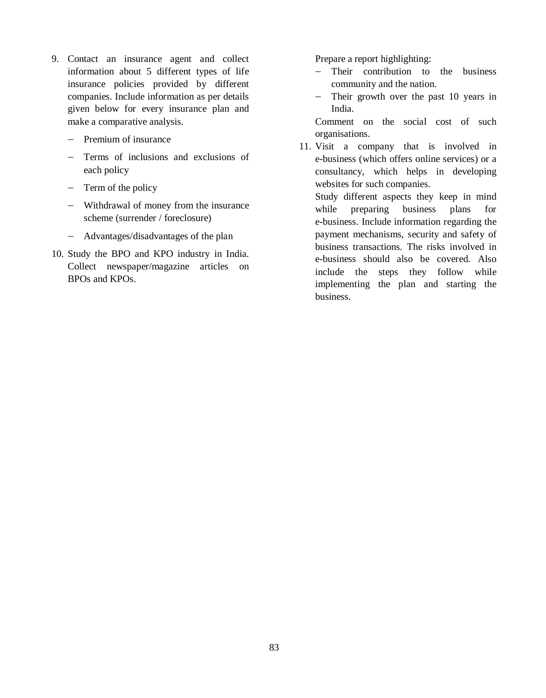- 9. Contact an insurance agent and collect information about 5 different types of life insurance policies provided by different companies. Include information as per details given below for every insurance plan and make a comparative analysis.
	- $-$  Premium of insurance
	- Terms of inclusions and exclusions of each policy
	- $-$  Term of the policy
	- Withdrawal of money from the insurance scheme (surrender / foreclosure)
	- Advantages/disadvantages of the plan
- 10. Study the BPO and KPO industry in India. Collect newspaper/magazine articles on BPOs and KPOs.

Prepare a report highlighting:

- Their contribution to the business community and the nation.
- Their growth over the past 10 years in India.

Comment on the social cost of such organisations.

11. Visit a company that is involved in e-business (which offers online services) or a consultancy, which helps in developing websites for such companies.

Study different aspects they keep in mind while preparing business plans for e-business. Include information regarding the payment mechanisms, security and safety of business transactions. The risks involved in e-business should also be covered. Also include the steps they follow while implementing the plan and starting the business.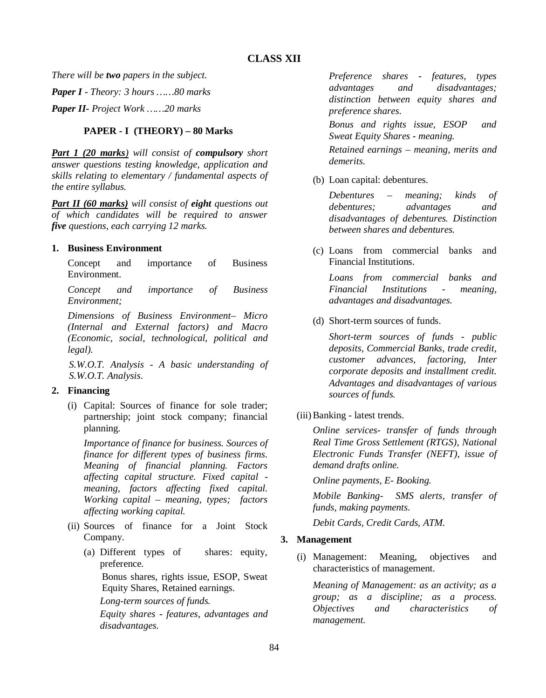*There will be two papers in the subject.*

*Paper I - Theory: 3 hours ……80 marks*

*Paper II- Project Work ……20 marks*

## **PAPER - I (THEORY) – 80 Marks**

*Part 1 (20 marks) will consist of compulsory short answer questions testing knowledge, application and skills relating to elementary / fundamental aspects of the entire syllabus.*

*Part II (60 marks) will consist of eight questions out of which candidates will be required to answer five questions, each carrying 12 marks.*

## **1. Business Environment**

Concept and importance of Business Environment.

*Concept and importance of Business Environment;* 

*Dimensions of Business Environment– Micro (Internal and External factors) and Macro (Economic, social, technological, political and legal).*

*S.W.O.T. Analysis - A basic understanding of S.W.O.T. Analysis*.

# **2. Financing**

(i) Capital: Sources of finance for sole trader; partnership; joint stock company; financial planning.

*Importance of finance for business. Sources of finance for different types of business firms. Meaning of financial planning. Factors affecting capital structure. Fixed capital meaning, factors affecting fixed capital. Working capital – meaning, types; factors affecting working capital.*

- (ii) Sources of finance for a Joint Stock Company.
	- (a) Different types of shares: equity, preference. Bonus shares, rights issue, ESOP, Sweat Equity Shares, Retained earnings. *Long-term sources of funds. Equity shares - features, advantages and disadvantages.*

*Preference shares - features, types advantages and disadvantages; distinction between equity shares and preference shares.*

*Bonus and rights issue, ESOP and Sweat Equity Shares - meaning.*

*Retained earnings – meaning, merits and demerits.*

(b) Loan capital: debentures.

*Debentures – meaning; kinds of debentures; advantages and disadvantages of debentures. Distinction between shares and debentures.*

(c) Loans from commercial banks and Financial Institutions.

*Loans from commercial banks and Financial Institutions - meaning, advantages and disadvantages.*

(d) Short-term sources of funds.

*Short-term sources of funds - public deposits, Commercial Banks, trade credit, customer advances, factoring, Inter corporate deposits and installment credit. Advantages and disadvantages of various sources of funds.*

(iii)Banking - latest trends.

*Online services- transfer of funds through Real Time Gross Settlement (RTGS), National Electronic Funds Transfer (NEFT), issue of demand drafts online.*

*Online payments, E- Booking.*

*Mobile Banking- SMS alerts, transfer of funds, making payments.*

*Debit Cards, Credit Cards, ATM.*

## **3. Management**

(i) Management: Meaning, objectives and characteristics of management.

*Meaning of Management: as an activity; as a group; as a discipline; as a process. Objectives and characteristics of management.*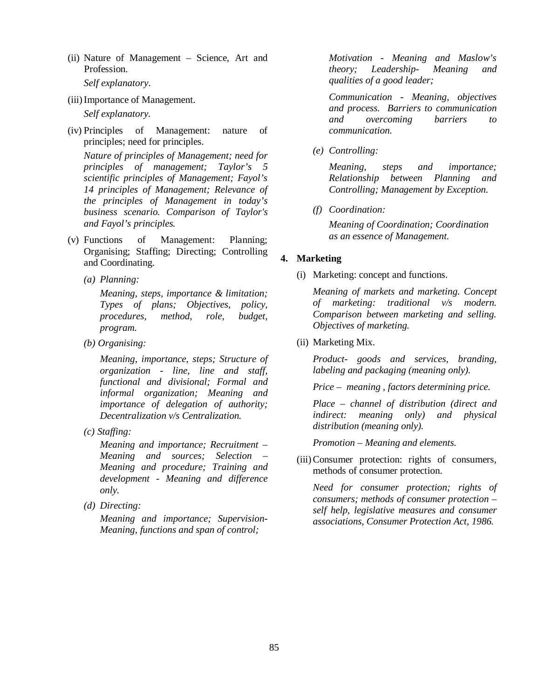(ii) Nature of Management – Science, Art and Profession.

*Self explanatory*.

(iii)Importance of Management.

*Self explanatory.*

(iv) Principles of Management: nature of principles; need for principles.

*Nature of principles of Management; need for principles of management; Taylor's 5 scientific principles of Management; Fayol's 14 principles of Management; Relevance of the principles of Management in today's business scenario. Comparison of Taylor's and Fayol's principles.* 

- (v) Functions of Management: Planning; Organising; Staffing; Directing; Controlling and Coordinating.
	- *(a) Planning:*

*Meaning, steps, importance & limitation; Types of plans; Objectives, policy, procedures, method, role, budget, program.*

*(b) Organising:* 

*Meaning, importance, steps; Structure of organization - line, line and staff, functional and divisional; Formal and informal organization; Meaning and importance of delegation of authority; Decentralization v/s Centralization.*

*(c) Staffing:*

*Meaning and importance; Recruitment – Meaning and sources; Selection – Meaning and procedure; Training and development - Meaning and difference only.*

*(d) Directing:* 

*Meaning and importance; Supervision-Meaning, functions and span of control;*

*Motivation - Meaning and Maslow's theory; Leadership- Meaning and qualities of a good leader;*

*Communication - Meaning, objectives and process. Barriers to communication and overcoming barriers to communication.*

*(e) Controlling:* 

*Meaning, steps and importance; Relationship between Planning and Controlling; Management by Exception.*

*(f) Coordination:*

*Meaning of Coordination; Coordination as an essence of Management.*

## **4. Marketing**

(i) Marketing: concept and functions.

*Meaning of markets and marketing. Concept of marketing: traditional v/s modern. Comparison between marketing and selling. Objectives of marketing.*

(ii) Marketing Mix.

*Product- goods and services, branding, labeling and packaging (meaning only).*

*Price – meaning , factors determining price.*

*Place – channel of distribution (direct and indirect: meaning only) and physical distribution (meaning only).* 

*Promotion – Meaning and elements.* 

(iii)Consumer protection: rights of consumers, methods of consumer protection.

*Need for consumer protection; rights of consumers; methods of consumer protection – self help, legislative measures and consumer associations, Consumer Protection Act, 1986.*